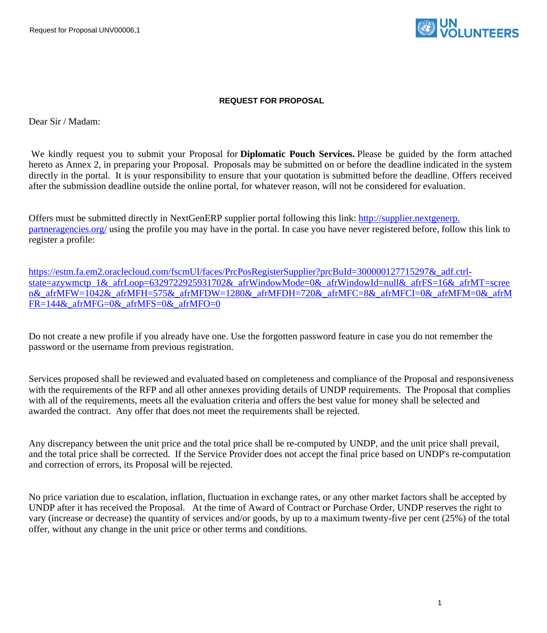Request for Proposal UNV00006,1



#### **REQUEST FOR PROPOSAL**

Dear Sir / Madam:

We kindly request you to submit your Proposal for **Diplomatic Pouch Services.** Please be guided by the form attached hereto as Annex 2, in preparing your Proposal. Proposals may be submitted on or before the deadline indicated in the system directly in the portal. It is your responsibility to ensure that your quotation is submitted before the deadline. Offers received after the submission deadline outside the online portal, for whatever reason, will not be considered for evaluation.

Offers must be submitted directly in NextGenERP supplier portal following this link: [http://supplier.nextgenerp.](http://supplier.nextgenerp.partneragencies.org/) [partneragencies.org/](http://supplier.nextgenerp.partneragencies.org/) using the profile you may have in the portal. In case you have never registered before, follow this link to register a profile:

[https://estm.fa.em2.oraclecloud.com/fscmUI/faces/PrcPosRegisterSupplier?prcBuId=300000127715297&\\_adf.ctrl](https://estm.fa.em2.oraclecloud.com/fscmUI/faces/PrcPosRegisterSupplier?prcBuId=300000127715297&_adf.ctrl-state=azywmctp_1&_afrLoop=6329722925931702&_afrWindowMode=0&_afrWindowId=null&_afrFS=16&_afrMT=screen&_afrMFW=1042&_afrMFH=575&_afrMFDW=1280&_afrMFDH=720&_afrMFC=8&_afrMFCI=0&_afrMFM=0&_afrMFR=144&_afrMFG=0&_afrMFS=0&_afrMFO=0)[state=azywmctp\\_1&\\_afrLoop=6329722925931702&\\_afrWindowMode=0&\\_afrWindowId=null&\\_afrFS=16&\\_afrMT=scree](https://estm.fa.em2.oraclecloud.com/fscmUI/faces/PrcPosRegisterSupplier?prcBuId=300000127715297&_adf.ctrl-state=azywmctp_1&_afrLoop=6329722925931702&_afrWindowMode=0&_afrWindowId=null&_afrFS=16&_afrMT=screen&_afrMFW=1042&_afrMFH=575&_afrMFDW=1280&_afrMFDH=720&_afrMFC=8&_afrMFCI=0&_afrMFM=0&_afrMFR=144&_afrMFG=0&_afrMFS=0&_afrMFO=0) [n&\\_afrMFW=1042&\\_afrMFH=575&\\_afrMFDW=1280&\\_afrMFDH=720&\\_afrMFC=8&\\_afrMFCI=0&\\_afrMFM=0&\\_afrM](https://estm.fa.em2.oraclecloud.com/fscmUI/faces/PrcPosRegisterSupplier?prcBuId=300000127715297&_adf.ctrl-state=azywmctp_1&_afrLoop=6329722925931702&_afrWindowMode=0&_afrWindowId=null&_afrFS=16&_afrMT=screen&_afrMFW=1042&_afrMFH=575&_afrMFDW=1280&_afrMFDH=720&_afrMFC=8&_afrMFCI=0&_afrMFM=0&_afrMFR=144&_afrMFG=0&_afrMFS=0&_afrMFO=0) FR=144& afrMFG=0& afrMFS=0& afrMFO=0

Do not create a new profile if you already have one. Use the forgotten password feature in case you do not remember the password or the username from previous registration.

Services proposed shall be reviewed and evaluated based on completeness and compliance of the Proposal and responsiveness with the requirements of the RFP and all other annexes providing details of UNDP requirements. The Proposal that complies with all of the requirements, meets all the evaluation criteria and offers the best value for money shall be selected and awarded the contract. Any offer that does not meet the requirements shall be rejected.

Any discrepancy between the unit price and the total price shall be re-computed by UNDP, and the unit price shall prevail, and the total price shall be corrected. If the Service Provider does not accept the final price based on UNDP's re-computation and correction of errors, its Proposal will be rejected.

No price variation due to escalation, inflation, fluctuation in exchange rates, or any other market factors shall be accepted by UNDP after it has received the Proposal. At the time of Award of Contract or Purchase Order, UNDP reserves the right to vary (increase or decrease) the quantity of services and/or goods, by up to a maximum twenty-five per cent (25%) of the total offer, without any change in the unit price or other terms and conditions.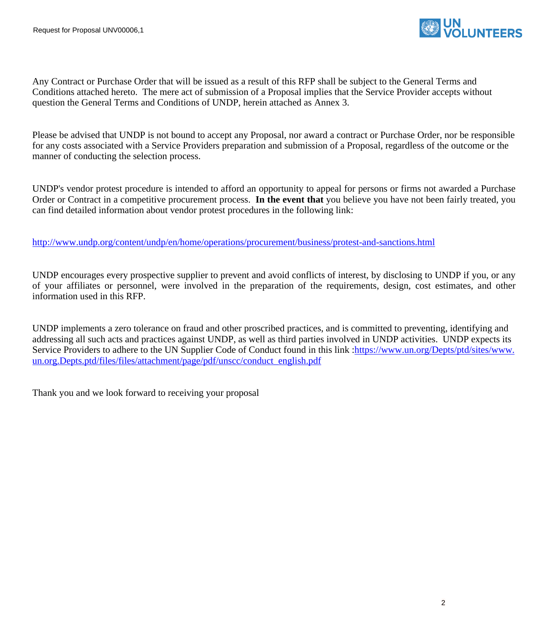

Any Contract or Purchase Order that will be issued as a result of this RFP shall be subject to the General Terms and Conditions attached hereto. The mere act of submission of a Proposal implies that the Service Provider accepts without question the General Terms and Conditions of UNDP, herein attached as Annex 3.

Please be advised that UNDP is not bound to accept any Proposal, nor award a contract or Purchase Order, nor be responsible for any costs associated with a Service Providers preparation and submission of a Proposal, regardless of the outcome or the manner of conducting the selection process.

UNDP's vendor protest procedure is intended to afford an opportunity to appeal for persons or firms not awarded a Purchase Order or Contract in a competitive procurement process. **In the event that** you believe you have not been fairly treated, you can find detailed information about vendor protest procedures in the following link:

<http://www.undp.org/content/undp/en/home/operations/procurement/business/protest-and-sanctions.html>

UNDP encourages every prospective supplier to prevent and avoid conflicts of interest, by disclosing to UNDP if you, or any of your affiliates or personnel, were involved in the preparation of the requirements, design, cost estimates, and other information used in this RFP.

UNDP implements a zero tolerance on fraud and other proscribed practices, and is committed to preventing, identifying and addressing all such acts and practices against UNDP, as well as third parties involved in UNDP activities. UNDP expects its Service Providers to adhere to the UN Supplier Code of Conduct found in this link [:https://www.un.org/Depts/ptd/sites/www.](https://www.un.org/Depts/ptd/sites/www.un.org.Depts.ptd/files/files/attachment/page/pdf/unscc/conduct_english.pdf) [un.org.Depts.ptd/files/files/attachment/page/pdf/unscc/conduct\\_english.pdf](https://www.un.org/Depts/ptd/sites/www.un.org.Depts.ptd/files/files/attachment/page/pdf/unscc/conduct_english.pdf)

Thank you and we look forward to receiving your proposal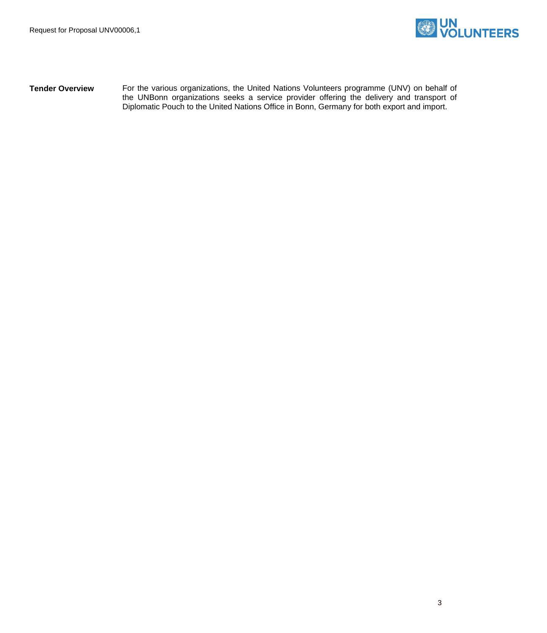

**Tender Overview** For the various organizations, the United Nations Volunteers programme (UNV) on behalf of the UNBonn organizations seeks a service provider offering the delivery and transport of Diplomatic Pouch to the United Nations Office in Bonn, Germany for both export and import.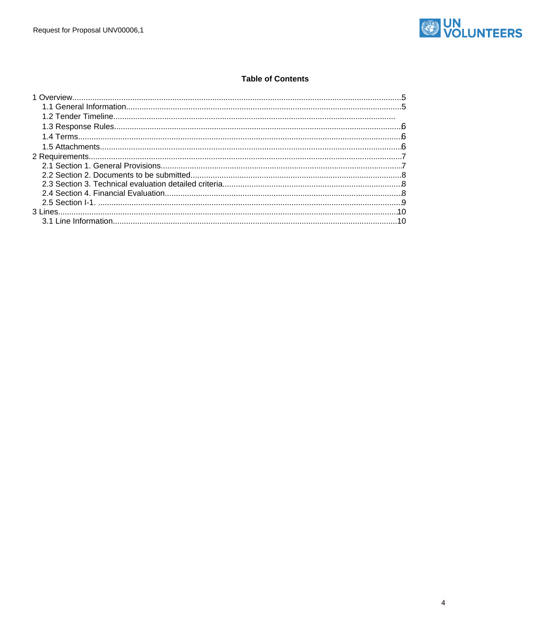

#### **Table of Contents**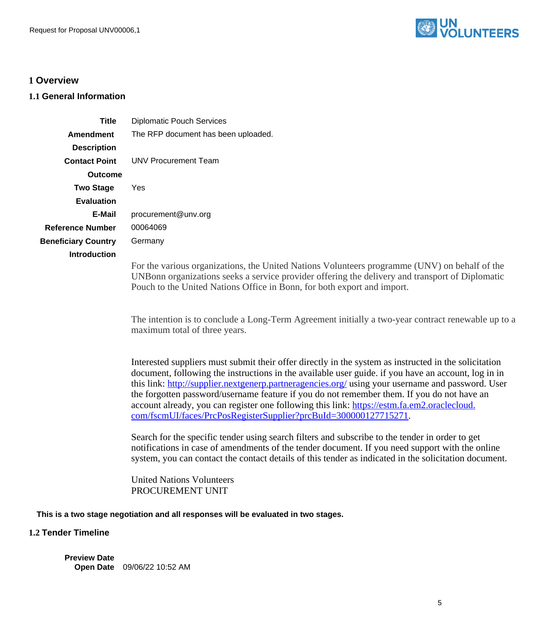

# <span id="page-4-0"></span>**1 Overview**

## <span id="page-4-1"></span>**1.1 General Information**

| <b>Diplomatic Pouch Services</b>                                                                                                                                                                                                                                                                                                                                                                                                                                                                                                                                                   |
|------------------------------------------------------------------------------------------------------------------------------------------------------------------------------------------------------------------------------------------------------------------------------------------------------------------------------------------------------------------------------------------------------------------------------------------------------------------------------------------------------------------------------------------------------------------------------------|
| The RFP document has been uploaded.                                                                                                                                                                                                                                                                                                                                                                                                                                                                                                                                                |
|                                                                                                                                                                                                                                                                                                                                                                                                                                                                                                                                                                                    |
| <b>UNV Procurement Team</b>                                                                                                                                                                                                                                                                                                                                                                                                                                                                                                                                                        |
|                                                                                                                                                                                                                                                                                                                                                                                                                                                                                                                                                                                    |
| Yes                                                                                                                                                                                                                                                                                                                                                                                                                                                                                                                                                                                |
|                                                                                                                                                                                                                                                                                                                                                                                                                                                                                                                                                                                    |
| procurement@unv.org                                                                                                                                                                                                                                                                                                                                                                                                                                                                                                                                                                |
| 00064069                                                                                                                                                                                                                                                                                                                                                                                                                                                                                                                                                                           |
| Germany                                                                                                                                                                                                                                                                                                                                                                                                                                                                                                                                                                            |
| For the various organizations, the United Nations Volunteers programme (UNV) on behalf of the<br>UNBonn organizations seeks a service provider offering the delivery and transport of Diplomatic<br>Pouch to the United Nations Office in Bonn, for both export and import.<br>The intention is to conclude a Long-Term Agreement initially a two-year contract renewable up to a<br>maximum total of three years.                                                                                                                                                                 |
| Interested suppliers must submit their offer directly in the system as instructed in the solicitation<br>document, following the instructions in the available user guide, if you have an account, log in in<br>this link: http://supplier.nextgenerp.partneragencies.org/ using your username and password. User<br>the forgotten password/username feature if you do not remember them. If you do not have an<br>account already, you can register one following this link: https://estm.fa.em2.oraclecloud.<br>com/fscmUI/faces/PrcPosRegisterSupplier?prcBuId=300000127715271. |
| Search for the specific tender using search filters and subscribe to the tender in order to get<br>notifications in case of amendments of the tender document. If you need support with the online<br>system, you can contact the contact details of this tender as indicated in the solicitation document.                                                                                                                                                                                                                                                                        |
| <b>United Nations Volunteers</b><br>PROCUREMENT UNIT                                                                                                                                                                                                                                                                                                                                                                                                                                                                                                                               |
|                                                                                                                                                                                                                                                                                                                                                                                                                                                                                                                                                                                    |

**This is a two stage negotiation and all responses will be evaluated in two stages.**

## **1.2 Tender Timeline**

**Preview Date Open Date** 09/06/22 10:52 AM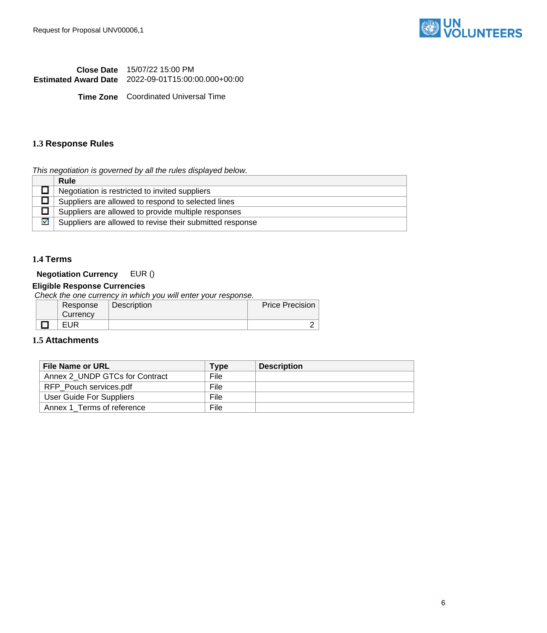

**Close Date** 15/07/22 15:00 PM **Estimated Award Date** 2022-09-01T15:00:00.000+00:00

**Time Zone** Coordinated Universal Time

#### <span id="page-5-0"></span>**1.3 Response Rules**

This negotiation is governed by all the rules displayed below.

|   | <b>Rule</b>                                              |
|---|----------------------------------------------------------|
|   | Negotiation is restricted to invited suppliers           |
|   | Suppliers are allowed to respond to selected lines       |
|   | Suppliers are allowed to provide multiple responses      |
| ☑ | Suppliers are allowed to revise their submitted response |

## <span id="page-5-1"></span>**1.4 Terms**

## **Negotiation Currency** EUR ()

## **Eligible Response Currencies**

Check the one currency in which you will enter your response.

| Response | Description | <b>Price Precision</b> |
|----------|-------------|------------------------|
| Currency |             |                        |
| EUR      |             |                        |

## <span id="page-5-2"></span>**1.5 Attachments**

| <b>File Name or URL</b>        | <b>Type</b> | <b>Description</b> |
|--------------------------------|-------------|--------------------|
| Annex 2 UNDP GTCs for Contract | File        |                    |
| RFP Pouch services.pdf         | File        |                    |
| User Guide For Suppliers       | File        |                    |
| Annex 1_Terms of reference     | File        |                    |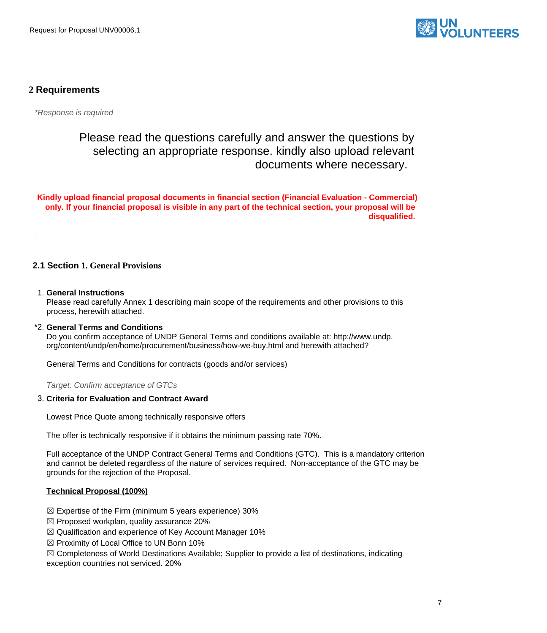

## <span id="page-6-0"></span>**2 Requirements**

\*Response is required

Please read the questions carefully and answer the questions by selecting an appropriate response. kindly also upload relevant documents where necessary.

**Kindly upload financial proposal documents in financial section (Financial Evaluation - Commercial) only. If your financial proposal is visible in any part of the technical section, your proposal will be disqualified.** 

- <span id="page-6-1"></span>**2.1 Section 1. General Provisions**
- 1. **General Instructions**

Please read carefully Annex 1 describing main scope of the requirements and other provisions to this process, herewith attached.

\*2. **General Terms and Conditions**

Do you confirm acceptance of UNDP General Terms and conditions available at: http://www.undp. org/content/undp/en/home/procurement/business/how-we-buy.html and herewith attached?

General Terms and Conditions for contracts (goods and/or services)

Target: Confirm acceptance of GTCs

#### 3. **Criteria for Evaluation and Contract Award**

Lowest Price Quote among technically responsive offers

The offer is technically responsive if it obtains the minimum passing rate 70%.

Full acceptance of the UNDP Contract General Terms and Conditions (GTC). This is a mandatory criterion and cannot be deleted regardless of the nature of services required. Non-acceptance of the GTC may be grounds for the rejection of the Proposal.

#### **Technical Proposal (100%)**

- $\boxtimes$  Expertise of the Firm (minimum 5 years experience) 30%
- $\boxtimes$  Proposed workplan, quality assurance 20%
- ☒ Qualification and experience of Key Account Manager 10%
- $\boxtimes$  Proximity of Local Office to UN Bonn 10%

☒ Completeness of World Destinations Available; Supplier to provide a list of destinations, indicating

exception countries not serviced. 20%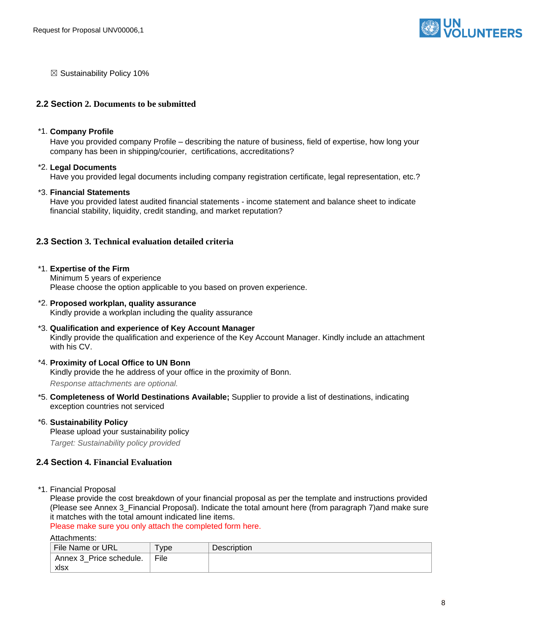

 $\boxtimes$  Sustainability Policy 10%

#### <span id="page-7-0"></span>**2.2 Section 2. Documents to be submitted**

#### \*1. **Company Profile**

Have you provided company Profile – describing the nature of business, field of expertise, how long your company has been in shipping/courier, certifications, accreditations?

#### \*2. **Legal Documents**

Have you provided legal documents including company registration certificate, legal representation, etc.?

#### \*3. **Financial Statements**

Have you provided latest audited financial statements - income statement and balance sheet to indicate financial stability, liquidity, credit standing, and market reputation?

## <span id="page-7-1"></span>**2.3 Section 3. Technical evaluation detailed criteria**

#### \*1. **Expertise of the Firm**

Minimum 5 years of experience Please choose the option applicable to you based on proven experience.

# \*2. **Proposed workplan, quality assurance**

Kindly provide a workplan including the quality assurance

#### \*3. **Qualification and experience of Key Account Manager**  Kindly provide the qualification and experience of the Key Account Manager. Kindly include an attachment with his CV.

#### \*4. **Proximity of Local Office to UN Bonn**

Kindly provide the he address of your office in the proximity of Bonn.

Response attachments are optional*.*

- \*5. **Completeness of World Destinations Available;** Supplier to provide a list of destinations, indicating exception countries not serviced
- \*6. **Sustainability Policy**  Please upload your sustainability policy Target: Sustainability policy provided

### <span id="page-7-2"></span>**2.4 Section 4. Financial Evaluation**

\*1. Financial Proposal

Please provide the cost breakdown of your financial proposal as per the template and instructions provided (Please see Annex 3\_Financial Proposal). Indicate the total amount here (from paragraph 7)and make sure it matches with the total amount indicated line items.

Please make sure you only attach the completed form here.

Attachments:

| File Name or URL        | <b>vpe</b> | <b>Description</b> |
|-------------------------|------------|--------------------|
| Annex 3 Price schedule. | File       |                    |
| xlsx                    |            |                    |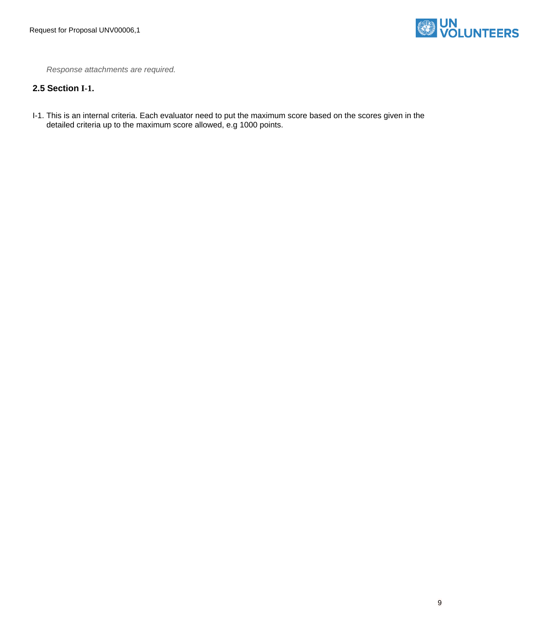

Response attachments are required*.*

## <span id="page-8-0"></span>**2.5 Section I-1.**

I-1. This is an internal criteria. Each evaluator need to put the maximum score based on the scores given in the detailed criteria up to the maximum score allowed, e.g 1000 points.